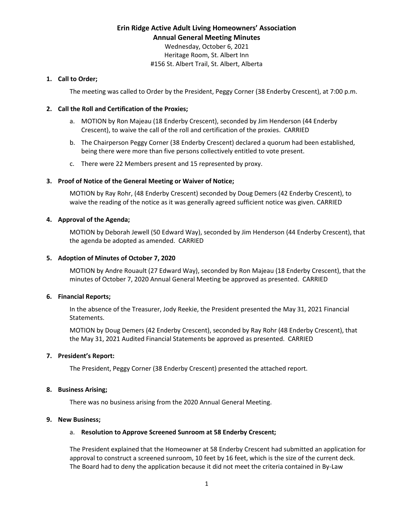## **Erin Ridge Active Adult Living Homeowners' Association Annual General Meeting Minutes**

Wednesday, October 6, 2021 Heritage Room, St. Albert Inn #156 St. Albert Trail, St. Albert, Alberta

#### **1. Call to Order;**

The meeting was called to Order by the President, Peggy Corner (38 Enderby Crescent), at 7:00 p.m.

## **2. Call the Roll and Certification of the Proxies;**

- a. MOTION by Ron Majeau (18 Enderby Crescent), seconded by Jim Henderson (44 Enderby Crescent), to waive the call of the roll and certification of the proxies. CARRIED
- b. The Chairperson Peggy Corner (38 Enderby Crescent) declared a quorum had been established, being there were more than five persons collectively entitled to vote present.
- c. There were 22 Members present and 15 represented by proxy.

## **3. Proof of Notice of the General Meeting or Waiver of Notice;**

MOTION by Ray Rohr, (48 Enderby Crescent) seconded by Doug Demers (42 Enderby Crescent), to waive the reading of the notice as it was generally agreed sufficient notice was given. CARRIED

## **4. Approval of the Agenda;**

MOTION by Deborah Jewell (50 Edward Way), seconded by Jim Henderson (44 Enderby Crescent), that the agenda be adopted as amended. CARRIED

## **5. Adoption of Minutes of October 7, 2020**

MOTION by Andre Rouault (27 Edward Way), seconded by Ron Majeau (18 Enderby Crescent), that the minutes of October 7, 2020 Annual General Meeting be approved as presented. CARRIED

#### **6. Financial Reports;**

In the absence of the Treasurer, Jody Reekie, the President presented the May 31, 2021 Financial Statements.

MOTION by Doug Demers (42 Enderby Crescent), seconded by Ray Rohr (48 Enderby Crescent), that the May 31, 2021 Audited Financial Statements be approved as presented. CARRIED

#### **7. President's Report:**

The President, Peggy Corner (38 Enderby Crescent) presented the attached report.

#### **8. Business Arising;**

There was no business arising from the 2020 Annual General Meeting.

#### **9. New Business;**

## a. **Resolution to Approve Screened Sunroom at 58 Enderby Crescent;**

The President explained that the Homeowner at 58 Enderby Crescent had submitted an application for approval to construct a screened sunroom, 10 feet by 16 feet, which is the size of the current deck. The Board had to deny the application because it did not meet the criteria contained in By-Law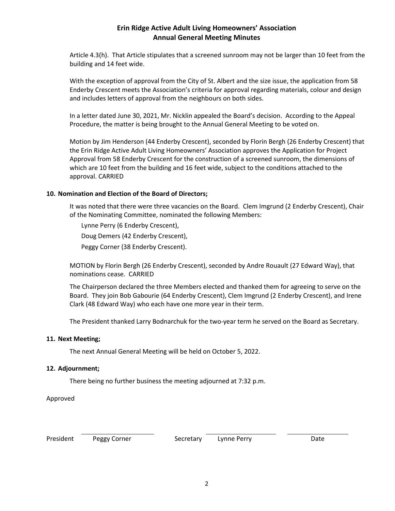## **Erin Ridge Active Adult Living Homeowners' Association Annual General Meeting Minutes**

Article 4.3(h). That Article stipulates that a screened sunroom may not be larger than 10 feet from the building and 14 feet wide.

With the exception of approval from the City of St. Albert and the size issue, the application from 58 Enderby Crescent meets the Association's criteria for approval regarding materials, colour and design and includes letters of approval from the neighbours on both sides.

In a letter dated June 30, 2021, Mr. Nicklin appealed the Board's decision. According to the Appeal Procedure, the matter is being brought to the Annual General Meeting to be voted on.

Motion by Jim Henderson (44 Enderby Crescent), seconded by Florin Bergh (26 Enderby Crescent) that the Erin Ridge Active Adult Living Homeowners' Association approves the Application for Project Approval from 58 Enderby Crescent for the construction of a screened sunroom, the dimensions of which are 10 feet from the building and 16 feet wide, subject to the conditions attached to the approval. CARRIED

## **10. Nomination and Election of the Board of Directors;**

It was noted that there were three vacancies on the Board. Clem Imgrund (2 Enderby Crescent), Chair of the Nominating Committee, nominated the following Members:

Lynne Perry (6 Enderby Crescent), Doug Demers (42 Enderby Crescent),

Peggy Corner (38 Enderby Crescent).

MOTION by Florin Bergh (26 Enderby Crescent), seconded by Andre Rouault (27 Edward Way), that nominations cease. CARRIED

The Chairperson declared the three Members elected and thanked them for agreeing to serve on the Board. They join Bob Gabourie (64 Enderby Crescent), Clem Imgrund (2 Enderby Crescent), and Irene Clark (48 Edward Way) who each have one more year in their term.

The President thanked Larry Bodnarchuk for the two-year term he served on the Board as Secretary.

#### **11. Next Meeting;**

The next Annual General Meeting will be held on October 5, 2022.

#### **12. Adjournment;**

There being no further business the meeting adjourned at 7:32 p.m.

Approved

| President |  |
|-----------|--|
|-----------|--|

Peggy Corner **Secretary** Lynne Perry **Date** Date